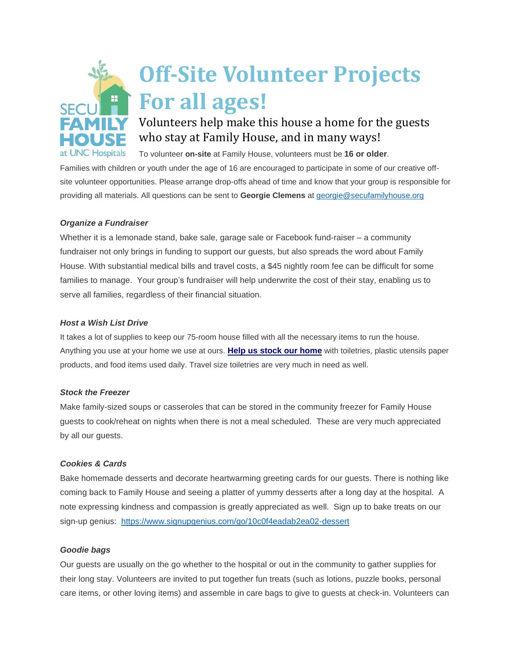

# **Off-Site Volunteer Projects For all ages!**

## Volunteers help make this house a home for the guests who stay at Family House, and in many ways!

To volunteer **on-site** at Family House, volunteers must be **16 or older**.

Families with children or youth under the age of 16 are encouraged to participate in some of our creative offsite volunteer opportunities. Please arrange drop-offs ahead of time and know that your group is responsible for providing all materials. All questions can be sent to **Georgie Clemens** at [georgie@secufamilyhouse.org](mailto:georgie@secufamilyhouse.org)

### *Organize a Fundraiser*

Whether it is a lemonade stand, bake sale, garage sale or Facebook fund-raiser – a community fundraiser not only brings in funding to support our guests, but also spreads the word about Family House. With substantial medical bills and travel costs, a \$45 nightly room fee can be difficult for some families to manage. Your group's fundraiser will help underwrite the cost of their stay, enabling us to serve all families, regardless of their financial situation.

### *Host a Wish List Drive*

It takes a lot of supplies to keep our 75-room house filled with all the necessary items to run the house. Anything you use at your home we use at ours. **Help us stock our [home](https://www.secufamilyhouse.org/support/wish-list)** with toiletries, plastic utensils paper products, and food items used daily. Travel size toiletries are very much in need as well.

### *Stock the Freezer*

Make family-sized soups or casseroles that can be stored in the community freezer for Family House guests to cook/reheat on nights when there is not a meal scheduled. These are very much appreciated by all our guests.

### *Cookies & Cards*

Bake homemade desserts and decorate heartwarming greeting cards for our guests. There is nothing like coming back to Family House and seeing a platter of yummy desserts after a long day at the hospital. A note expressing kindness and compassion is greatly appreciated as well. Sign up to bake treats on our sign-up genius: <https://www.signupgenius.com/go/10c0f4eadab2ea02-dessert>

### *Goodie bags*

Our guests are usually on the go whether to the hospital or out in the community to gather supplies for their long stay. Volunteers are invited to put together fun treats (such as lotions, puzzle books, personal care items, or other loving items) and assemble in care bags to give to guests at check-in. Volunteers can